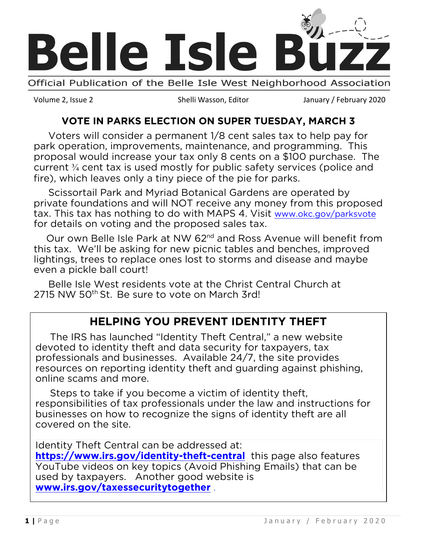

Volume 2, Issue 2 Shelli Wasson, Editor January / February 2020

### **VOTE IN PARKS ELECTION ON SUPER TUESDAY, MARCH 3**

 Voters will consider a permanent 1/8 cent sales tax to help pay for park operation, improvements, maintenance, and programming. This proposal would increase your tax only 8 cents on a \$100 purchase. The current ¾ cent tax is used mostly for public safety services (police and fire), which leaves only a tiny piece of the pie for parks.

 Scissortail Park and Myriad Botanical Gardens are operated by private foundations and will NOT receive any money from this proposed tax. This tax has nothing to do with MAPS 4. Visit [www.okc.gov/parksvote](https://protect-us.mimecast.com/s/J5gpCM8NjNC5zgYoCwwrMj?domain=okc.gov) for details on voting and the proposed sales tax.

Our own Belle Isle Park at NW 62<sup>nd</sup> and Ross Avenue will benefit from this tax. We'll be asking for new picnic tables and benches, improved lightings, trees to replace ones lost to storms and disease and maybe even a pickle ball court!

 Belle Isle West residents vote at the Christ Central Church at 2715 NW 50<sup>th</sup> St. Be sure to vote on March 3rd!

## **HELPING YOU PREVENT IDENTITY THEFT**

 The IRS has launched "Identity Theft Central," a new website devoted to identity theft and data security for taxpayers, tax professionals and businesses. Available 24/7, the site provides resources on reporting identity theft and guarding against phishing, online scams and more.

 Steps to take if you become a victim of identity theft, responsibilities of tax professionals under the law and instructions for businesses on how to recognize the signs of identity theft are all covered on the site.

Identity Theft Central can be addressed at: **<https://www.irs.gov/identity-theft-central>** this page also features YouTube videos on key topics (Avoid Phishing Emails) that can be used by taxpayers. Another good website is **[www.irs.gov/taxessecuritytogether](http://www.irs.gov/taxessecuritytogether)** .

l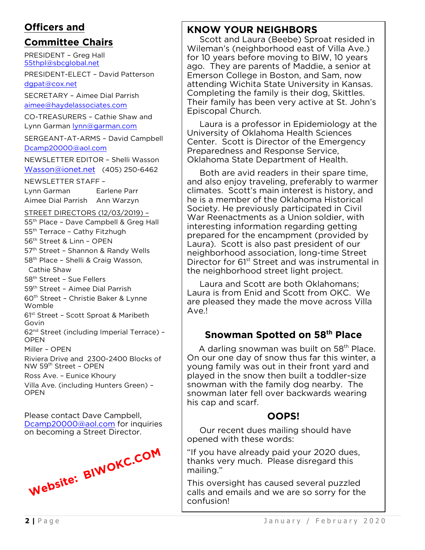#### **Officers and**

### **Committee Chairs**

PRESIDENT – Greg Hall [55thpl@sbcglobal.net](mailto:55thpl@sbcglobal.net)

PRESIDENT-ELECT – David Patterson [dgpat@cox.net](mailto:dgpat@cox.net)

SECRETARY – Aimee Dial Parrish [aimee@haydelassociates.com](mailto:aimee@haydelassociates.com)

CO-TREASURERS – Cathie Shaw and Lynn Garman [lynn@garman.com](mailto:lynn@garman.com)

SERGEANT-AT-ARMS – David Campbell [Dcamp20000@aol.com](mailto:Dcamp20000@aol.com)

NEWSLETTER EDITOR – Shelli Wasson [Wasson@ionet.net](mailto:Wasson@ionet.net) (405) 250-6462

NEWSLETTER STAFF –

Lynn Garman Earlene Parr Aimee Dial Parrish Ann Warzyn

#### STREET DIRECTORS (12/03/2019) –

- 55<sup>th</sup> Place Dave Campbell & Greg Hall 55<sup>th</sup> Terrace - Cathy Fitzhugh 56th Street & Linn – OPEN 57<sup>th</sup> Street - Shannon & Randy Wells
- 58<sup>th</sup> Place Shelli & Craig Wasson, Cathie Shaw

58<sup>th</sup> Street - Sue Fellers

59th Street – Aimee Dial Parrish

60th Street – Christie Baker & Lynne Womble

61st Street – Scott Sproat & Maribeth Govin

62nd Street (including Imperial Terrace) – OPEN

Miller – OPEN

Riviera Drive and 2300-2400 Blocks of NW 59th Street – OPEN

Ross Ave. – Eunice Khoury

Villa Ave. (including Hunters Green) – **OPEN** 

Please contact Dave Campbell, [Dcamp20000@aol.com](mailto:Dcamp20000@aol.com) for inquiries on becoming a Street Director.



### **KNOW YOUR NEIGHBORS**

 Scott and Laura (Beebe) Sproat resided in Wileman's (neighborhood east of Villa Ave.) for 10 years before moving to BIW, 10 years ago. They are parents of Maddie, a senior at Emerson College in Boston, and Sam, now attending Wichita State University in Kansas. Completing the family is their dog, Skittles. Their family has been very active at St. John's Episcopal Church.

 Laura is a professor in Epidemiology at the University of Oklahoma Health Sciences Center. Scott is Director of the Emergency Preparedness and Response Service, Oklahoma State Department of Health.

 Both are avid readers in their spare time, and also enjoy traveling, preferably to warmer climates. Scott's main interest is history, and he is a member of the Oklahoma Historical Society. He previously participated in Civil War Reenactments as a Union soldier, with interesting information regarding getting prepared for the encampment (provided by Laura). Scott is also past president of our neighborhood association, long-time Street Director for 61<sup>st</sup> Street and was instrumental in the neighborhood street light project.

 Laura and Scott are both Oklahomans; Laura is from Enid and Scott from OKC. We are pleased they made the move across Villa Ave.!

### **Snowman Spotted on 58th Place**

A darling snowman was built on 58<sup>th</sup> Place. On our one day of snow thus far this winter, a young family was out in their front yard and played in the snow then built a toddler-size snowman with the family dog nearby. The snowman later fell over backwards wearing his cap and scarf.

## **OOPS!**

 Our recent dues mailing should have opened with these words:

"If you have already paid your 2020 dues, thanks very much. Please disregard this mailing."

This oversight has caused several puzzled calls and emails and we are so sorry for the confusion!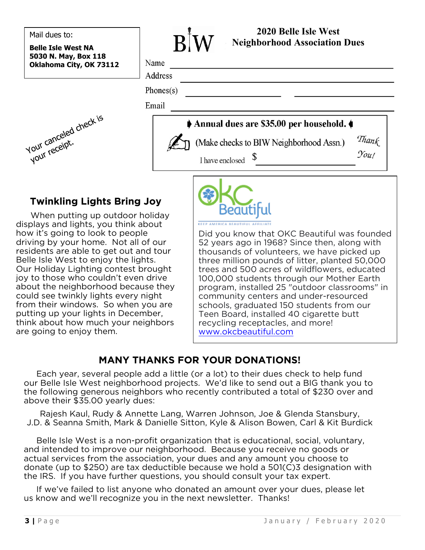Mail dues to:

**Belle Isle West NA 5030 N. May, Box 118 Oklahoma City, OK 73112**



**2020 Belle Isle West Neighborhood Association Dues** Name Address Phones $(s)$ Email Annual dues are \$35.00 per household. Thank (Make checks to BIW Neighborhood Assn.)  $\gamma_{\text{out}}$ I have enclosed

## **Twinkling Lights Bring Joy**

When putting up outdoor holiday displays and lights, you think about how it's going to look to people driving by your home. Not all of our residents are able to get out and tour Belle Isle West to enjoy the lights. Our Holiday Lighting contest brought joy to those who couldn't even drive about the neighborhood because they could see twinkly lights every night from their windows. So when you are putting up your lights in December, think about how much your neighbors are going to enjoy them.



Did you know that OKC Beautiful was founded 52 years ago in 1968? Since then, along with thousands of volunteers, we have picked up three million pounds of litter, planted 50,000 trees and 500 acres of wildflowers, educated 100,000 students through our Mother Earth program, installed 25 "outdoor classrooms" in community centers and under-resourced schools, graduated 150 students from our Teen Board, installed 40 cigarette butt recycling receptacles, and more! [www.okcbeautiful.com](http://www.okcbeautiful.com/)

### **MANY THANKS FOR YOUR DONATIONS!**

 Each year, several people add a little (or a lot) to their dues check to help fund our Belle Isle West neighborhood projects. We'd like to send out a BIG thank you to the following generous neighbors who recently contributed a total of \$230 over and above their \$35.00 yearly dues:

Rajesh Kaul, Rudy & Annette Lang, Warren Johnson, Joe & Glenda Stansbury, J.D. & Seanna Smith, Mark & Danielle Sitton, Kyle & Alison Bowen, Carl & Kit Burdick

 Belle Isle West is a non-profit organization that is educational, social, voluntary, and intended to improve our neighborhood. Because you receive no goods or actual services from the association, your dues and any amount you choose to donate (up to \$250) are tax deductible because we hold a 501(C)3 designation with the IRS. If you have further questions, you should consult your tax expert.

 If we've failed to list anyone who donated an amount over your dues, please let us know and we'll recognize you in the next newsletter. Thanks!